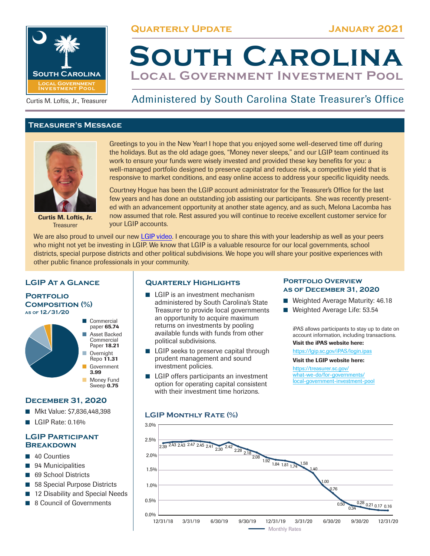**Quarterly Update January 2021**



Curtis M. Loftis, Jr., Treasurer

# **Treasurer's Message**



Curtis M. Loftis, Jr. **Treasurer** 

Greetings to you in the New Year! I hope that you enjoyed some well-deserved time off during the holidays. But as the old adage goes, "Money never sleeps," and our LGIP team continued its work to ensure your funds were wisely invested and provided these key benefits for you: a well-managed portfolio designed to preserve capital and reduce risk, a competitive yield that is responsive to market conditions, and easy online access to address your specific liquidity needs.

Administered by South Carolina State Treasurer's Office

**South Carolina**

**Local Government Investment Pool**

Courtney Hogue has been the LGIP account administrator for the Treasurer's Office for the last few years and has done an outstanding job assisting our participants. She was recently presented with an advancement opportunity at another state agency, and as such, Melona Lacomba has now assumed that role. Rest assured you will continue to receive excellent customer service for your LGIP accounts.

We are also proud to unveil our new LGIP video. I encourage you to share this with your leadership as well as your peers who might not yet be investing in LGIP. We know that LGIP is a valuable resource for our local governments, school districts, special purpose districts and other political subdivisions. We hope you will share your positive experiences with other public finance professionals in your community.

# **LGIP At a Glance**



Sweep **0.75** 

■ Money Fund

# **December 31, 2020**

- Mkt Value: \$7,836,448,398
- LGIP Rate: 0.16%

# **LGIP Participant Breakdown**

- 40 Counties
- 94 Municipalities
- 69 School Districts
- 58 Special Purpose Districts
- 12 Disability and Special Needs
- ◾ 8 Council of Governments

# **Quarterly Highlights**

- $\blacksquare$  LGIP is an investment mechanism administered by South Carolina's State Treasurer to provide local governments an opportunity to acquire maximum returns on investments by pooling available funds with funds from other political subdivisions.
- LGIP seeks to preserve capital through prudent management and sound investment policies.
- LGIP offers participants an investment option for operating capital consistent with their investment time horizons.

## **Portfolio Overview as of December 31, 2020**

- Weighted Average Maturity: 46.18
- Weighted Average Life: 53.54

iPAS allows participants to stay up to date on account information, including transactions. Visit the iPAS website here:

https://lgip.sc.gov/iPAS/login.ipas

## Visit the LGIP website here:

https://treasurer.sc.gov/ what-we-do/for-governments/ local-government-investment-pool

## **LGIP Monthly Rate (%)**